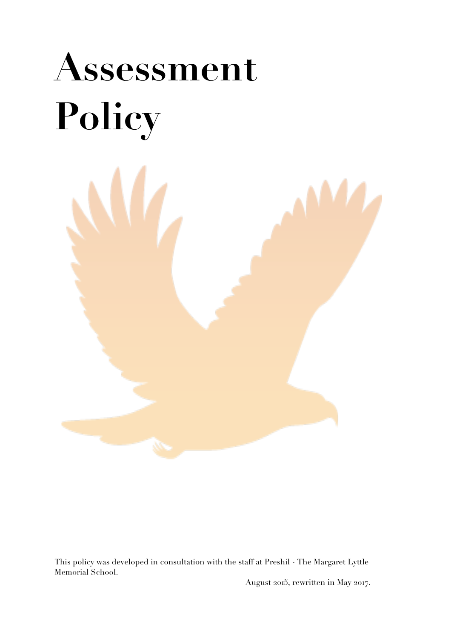# **Assessment Policy**



This policy was developed in consultation with the staff at Preshil - The Margaret Lyttle Memorial School.

August 2015, rewritten in May 2017.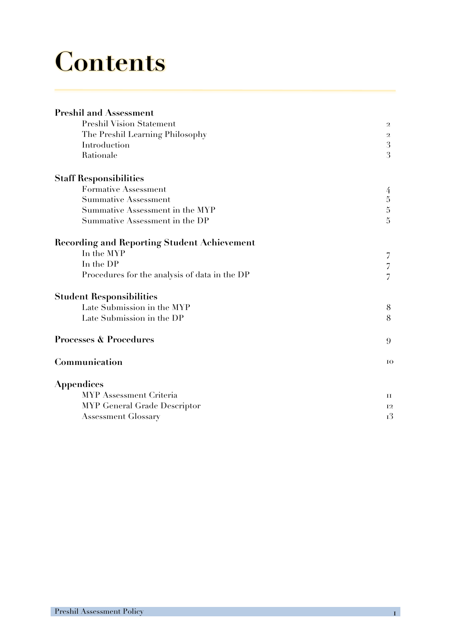# **Contents**

| <b>Preshil and Assessment</b>                 |                |
|-----------------------------------------------|----------------|
| <b>Preshil Vision Statement</b>               | $\mathbf{2}$   |
| The Preshil Learning Philosophy               | $\overline{2}$ |
| Introduction                                  | 3              |
| Rationale                                     | 3              |
| <b>Staff Responsibilities</b>                 |                |
| Formative Assessment                          | 4              |
| <b>Summative Assessment</b>                   |                |
| Summative Assessment in the MYP               | $\frac{5}{5}$  |
| Summative Assessment in the DP                | $\overline{5}$ |
| Recording and Reporting Student Achievement   |                |
| In the MYP                                    | 7              |
| In the DP                                     | 7              |
| Procedures for the analysis of data in the DP | $\overline{7}$ |
| <b>Student Responsibilities</b>               |                |
| Late Submission in the MYP                    | 8              |
| Late Submission in the DP                     | 8              |
| <b>Processes &amp; Procedures</b>             | 9              |
| Communication                                 | 10             |
| Appendices                                    |                |
| MYP Assessment Criteria                       | П              |
| MYP General Grade Descriptor                  | 12             |
| <b>Assessment Glossary</b>                    | 13             |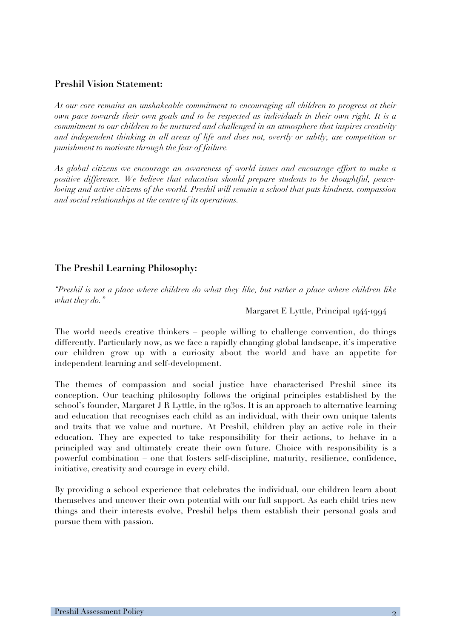#### **Preshil Vision Statement:**

*At our core remains an unshakeable commitment to encouraging all children to progress at their own pace towards their own goals and to be respected as individuals in their own right. It is a commitment to our children to be nurtured and challenged in an atmosphere that inspires creativity and independent thinking in all areas of life and does not, overtly or subtly, use competition or punishment to motivate through the fear of failure.*

*As global citizens we encourage an awareness of world issues and encourage effort to make a positive difference. We believe that education should prepare students to be thoughtful, peaceloving and active citizens of the world. Preshil will remain a school that puts kindness, compassion and social relationships at the centre of its operations.*

#### **The Preshil Learning Philosophy:**

*"Preshil is not a place where children do what they like, but rather a place where children like what they do."* 

#### Margaret E Lyttle, Principal 1944-1994

The world needs creative thinkers – people willing to challenge convention, do things differently. Particularly now, as we face a rapidly changing global landscape, it's imperative our children grow up with a curiosity about the world and have an appetite for independent learning and self-development.

The themes of compassion and social justice have characterised Preshil since its conception. Our teaching philosophy follows the original principles established by the school's founder, Margaret J R Lyttle, in the 1930s. It is an approach to alternative learning and education that recognises each child as an individual, with their own unique talents and traits that we value and nurture. At Preshil, children play an active role in their education. They are expected to take responsibility for their actions, to behave in a principled way and ultimately create their own future. Choice with responsibility is a powerful combination – one that fosters self-discipline, maturity, resilience, confidence, initiative, creativity and courage in every child.

By providing a school experience that celebrates the individual, our children learn about themselves and uncover their own potential with our full support. As each child tries new things and their interests evolve, Preshil helps them establish their personal goals and pursue them with passion.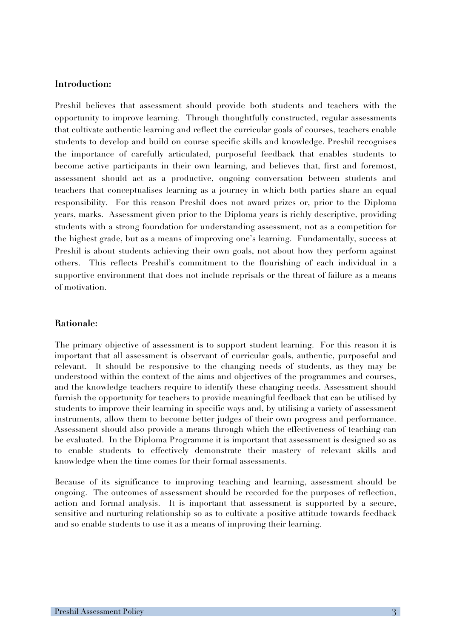#### **Introduction:**

Preshil believes that assessment should provide both students and teachers with the opportunity to improve learning. Through thoughtfully constructed, regular assessments that cultivate authentic learning and reflect the curricular goals of courses, teachers enable students to develop and build on course specific skills and knowledge. Preshil recognises the importance of carefully articulated, purposeful feedback that enables students to become active participants in their own learning, and believes that, first and foremost, assessment should act as a productive, ongoing conversation between students and teachers that conceptualises learning as a journey in which both parties share an equal responsibility. For this reason Preshil does not award prizes or, prior to the Diploma years, marks. Assessment given prior to the Diploma years is richly descriptive, providing students with a strong foundation for understanding assessment, not as a competition for the highest grade, but as a means of improving one's learning. Fundamentally, success at Preshil is about students achieving their own goals, not about how they perform against others. This reflects Preshil's commitment to the flourishing of each individual in a supportive environment that does not include reprisals or the threat of failure as a means of motivation.

#### **Rationale:**

The primary objective of assessment is to support student learning. For this reason it is important that all assessment is observant of curricular goals, authentic, purposeful and relevant. It should be responsive to the changing needs of students, as they may be understood within the context of the aims and objectives of the programmes and courses, and the knowledge teachers require to identify these changing needs. Assessment should furnish the opportunity for teachers to provide meaningful feedback that can be utilised by students to improve their learning in specific ways and, by utilising a variety of assessment instruments, allow them to become better judges of their own progress and performance. Assessment should also provide a means through which the effectiveness of teaching can be evaluated. In the Diploma Programme it is important that assessment is designed so as to enable students to effectively demonstrate their mastery of relevant skills and knowledge when the time comes for their formal assessments.

Because of its significance to improving teaching and learning, assessment should be ongoing. The outcomes of assessment should be recorded for the purposes of reflection, action and formal analysis. It is important that assessment is supported by a secure, sensitive and nurturing relationship so as to cultivate a positive attitude towards feedback and so enable students to use it as a means of improving their learning.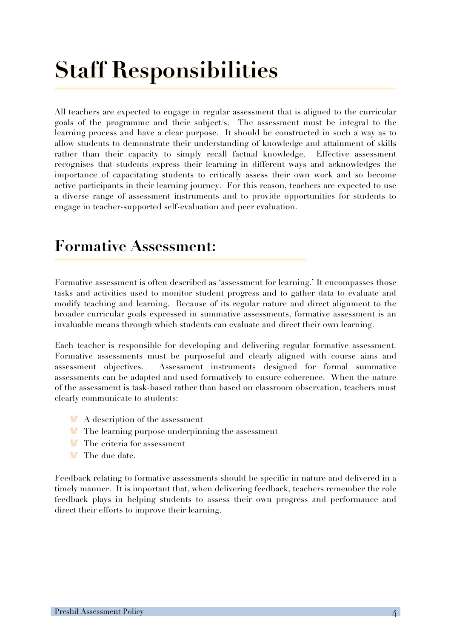# **Staff Responsibilities**

All teachers are expected to engage in regular assessment that is aligned to the curricular goals of the programme and their subject/s. The assessment must be integral to the learning process and have a clear purpose. It should be constructed in such a way as to allow students to demonstrate their understanding of knowledge and attainment of skills rather than their capacity to simply recall factual knowledge. Effective assessment recognises that students express their learning in different ways and acknowledges the importance of capacitating students to critically assess their own work and so become active participants in their learning journey. For this reason, teachers are expected to use a diverse range of assessment instruments and to provide opportunities for students to engage in teacher-supported self-evaluation and peer evaluation.

### **Formative Assessment:**

Formative assessment is often described as 'assessment for learning.' It encompasses those tasks and activities used to monitor student progress and to gather data to evaluate and modify teaching and learning. Because of its regular nature and direct alignment to the broader curricular goals expressed in summative assessments, formative assessment is an invaluable means through which students can evaluate and direct their own learning.

Each teacher is responsible for developing and delivering regular formative assessment. Formative assessments must be purposeful and clearly aligned with course aims and assessment objectives. Assessment instruments designed for formal summative assessments can be adapted and used formatively to ensure coherence. When the nature of the assessment is task-based rather than based on classroom observation, teachers must clearly communicate to students:

- A description of the assessment
- **The learning purpose underpinning the assessment**
- The criteria for assessment
- $\mathbf{V}$ The due date.

Feedback relating to formative assessments should be specific in nature and delivered in a timely manner. It is important that, when delivering feedback, teachers remember the role feedback plays in helping students to assess their own progress and performance and direct their efforts to improve their learning.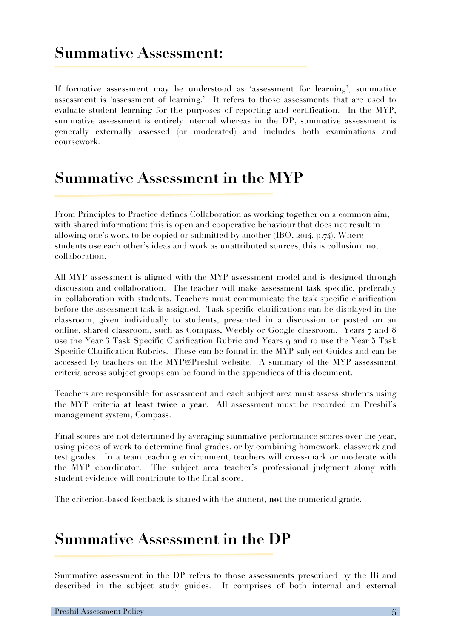### **Summative Assessment:**

If formative assessment may be understood as 'assessment for learning', summative assessment is 'assessment of learning.' It refers to those assessments that are used to evaluate student learning for the purposes of reporting and certification. In the MYP, summative assessment is entirely internal whereas in the DP, summative assessment is generally externally assessed (or moderated) and includes both examinations and coursework.

### **Summative Assessment in the MYP**

From Principles to Practice defines Collaboration as working together on a common aim, with shared information; this is open and cooperative behaviour that does not result in allowing one's work to be copied or submitted by another (IBO, 2014, p.74). Where students use each other's ideas and work as unattributed sources, this is collusion, not collaboration.

All MYP assessment is aligned with the MYP assessment model and is designed through discussion and collaboration. The teacher will make assessment task specific, preferably in collaboration with students. Teachers must communicate the task specific clarification before the assessment task is assigned. Task specific clarifications can be displayed in the classroom, given individually to students, presented in a discussion or posted on an online, shared classroom, such as Compass, Weebly or Google classroom. Years 7 and 8 use the Year 3 Task Specific Clarification Rubric and Years 9 and 10 use the Year 5 Task Specific Clarification Rubrics. These can be found in the MYP subject Guides and can be accessed by teachers on the MYP@Preshil website. A summary of the MYP assessment criteria across subject groups can be found in the appendices of this document.

Teachers are responsible for assessment and each subject area must assess students using the MYP criteria **at least twice a year**. All assessment must be recorded on Preshil's management system, Compass.

Final scores are not determined by averaging summative performance scores over the year, using pieces of work to determine final grades, or by combining homework, classwork and test grades. In a team teaching environment, teachers will cross-mark or moderate with the MYP coordinator. The subject area teacher's professional judgment along with student evidence will contribute to the final score.

The criterion-based feedback is shared with the student, **not** the numerical grade.

### **Summative Assessment in the DP**

Summative assessment in the DP refers to those assessments prescribed by the IB and described in the subject study guides. It comprises of both internal and external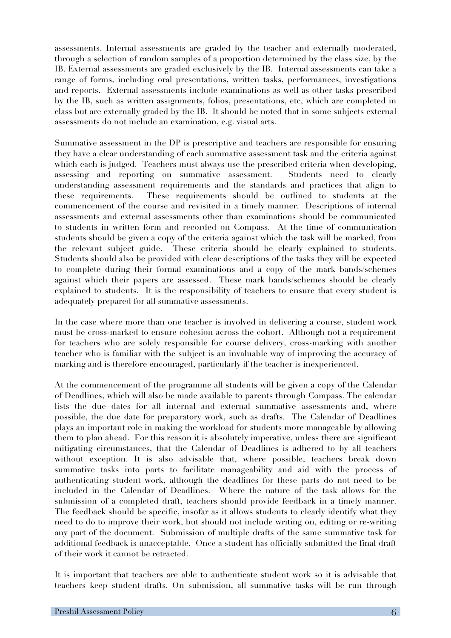assessments. Internal assessments are graded by the teacher and externally moderated, through a selection of random samples of a proportion determined by the class size, by the IB. External assessments are graded exclusively by the IB. Internal assessments can take a range of forms, including oral presentations, written tasks, performances, investigations and reports. External assessments include examinations as well as other tasks prescribed by the IB, such as written assignments, folios, presentations, etc, which are completed in class but are externally graded by the IB. It should be noted that in some subjects external assessments do not include an examination, e.g. visual arts.

Summative assessment in the DP is prescriptive and teachers are responsible for ensuring they have a clear understanding of each summative assessment task and the criteria against which each is judged. Teachers must always use the prescribed criteria when developing, assessing and reporting on summative assessment. Students need to clearly understanding assessment requirements and the standards and practices that align to these requirements. These requirements should be outlined to students at the commencement of the course and revisited in a timely manner. Descriptions of internal assessments and external assessments other than examinations should be communicated to students in written form and recorded on Compass. At the time of communication students should be given a copy of the criteria against which the task will be marked, from the relevant subject guide. These criteria should be clearly explained to students. Students should also be provided with clear descriptions of the tasks they will be expected to complete during their formal examinations and a copy of the mark bands/schemes against which their papers are assessed. These mark bands/schemes should be clearly explained to students. It is the responsibility of teachers to ensure that every student is adequately prepared for all summative assessments.

In the case where more than one teacher is involved in delivering a course, student work must be cross-marked to ensure cohesion across the cohort. Although not a requirement for teachers who are solely responsible for course delivery, cross-marking with another teacher who is familiar with the subject is an invaluable way of improving the accuracy of marking and is therefore encouraged, particularly if the teacher is inexperienced.

At the commencement of the programme all students will be given a copy of the Calendar of Deadlines, which will also be made available to parents through Compass. The calendar lists the due dates for all internal and external summative assessments and, where possible, the due date for preparatory work, such as drafts. The Calendar of Deadlines plays an important role in making the workload for students more manageable by allowing them to plan ahead. For this reason it is absolutely imperative, unless there are significant mitigating circumstances, that the Calendar of Deadlines is adhered to by all teachers without exception. It is also advisable that, where possible, teachers break down summative tasks into parts to facilitate manageability and aid with the process of authenticating student work, although the deadlines for these parts do not need to be included in the Calendar of Deadlines. Where the nature of the task allows for the submission of a completed draft, teachers should provide feedback in a timely manner. The feedback should be specific, insofar as it allows students to clearly identify what they need to do to improve their work, but should not include writing on, editing or re-writing any part of the document. Submission of multiple drafts of the same summative task for additional feedback is unacceptable. Once a student has officially submitted the final draft of their work it cannot be retracted.

It is important that teachers are able to authenticate student work so it is advisable that teachers keep student drafts. On submission, all summative tasks will be run through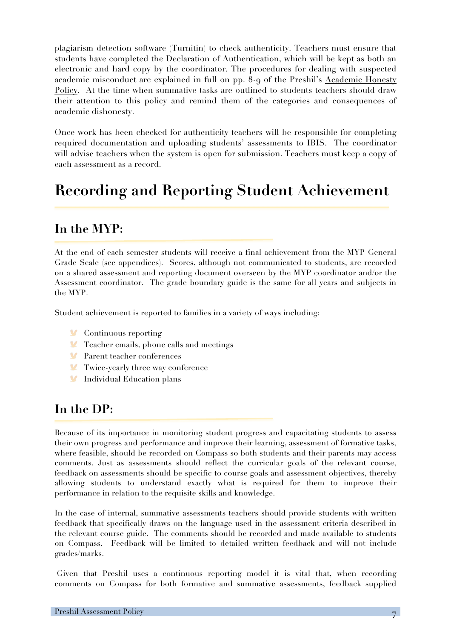plagiarism detection software (Turnitin) to check authenticity. Teachers must ensure that students have completed the Declaration of Authentication, which will be kept as both an electronic and hard copy by the coordinator. The procedures for dealing with suspected academic misconduct are explained in full on pp. 8-9 of the Preshil's Academic Honesty Policy. At the time when summative tasks are outlined to students teachers should draw their attention to this policy and remind them of the categories and consequences of academic dishonesty.

Once work has been checked for authenticity teachers will be responsible for completing required documentation and uploading students' assessments to IBIS. The coordinator will advise teachers when the system is open for submission. Teachers must keep a copy of each assessment as a record.

### **Recording and Reporting Student Achievement**

#### **In the MYP:**

At the end of each semester students will receive a final achievement from the MYP General Grade Scale (see appendices). Scores, although not communicated to students, are recorded on a shared assessment and reporting document overseen by the MYP coordinator and/or the Assessment coordinator. The grade boundary guide is the same for all years and subjects in the MYP.

Student achievement is reported to families in a variety of ways including:

- **Continuous reporting**
- **Teacher emails, phone calls and meetings**
- Parent teacher conferences
- **Twice-yearly three way conference**
- **Individual Education plans**

#### **In the DP:**

Because of its importance in monitoring student progress and capacitating students to assess their own progress and performance and improve their learning, assessment of formative tasks, where feasible, should be recorded on Compass so both students and their parents may access comments. Just as assessments should reflect the curricular goals of the relevant course, feedback on assessments should be specific to course goals and assessment objectives, thereby allowing students to understand exactly what is required for them to improve their performance in relation to the requisite skills and knowledge.

In the case of internal, summative assessments teachers should provide students with written feedback that specifically draws on the language used in the assessment criteria described in the relevant course guide. The comments should be recorded and made available to students on Compass. Feedback will be limited to detailed written feedback and will not include grades/marks.

Given that Preshil uses a continuous reporting model it is vital that, when recording comments on Compass for both formative and summative assessments, feedback supplied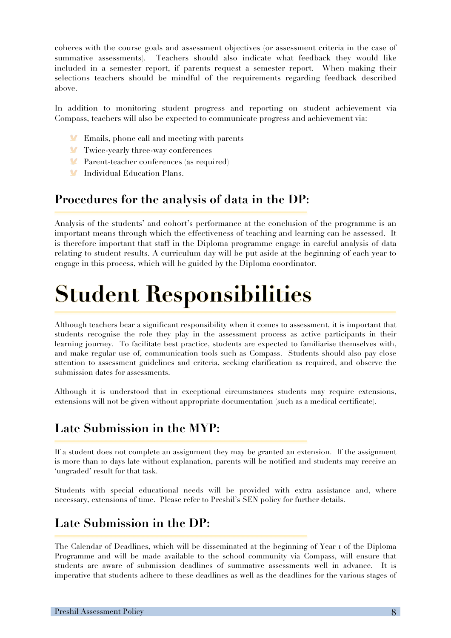coheres with the course goals and assessment objectives (or assessment criteria in the case of summative assessments). Teachers should also indicate what feedback they would like included in a semester report, if parents request a semester report. When making their selections teachers should be mindful of the requirements regarding feedback described above.

In addition to monitoring student progress and reporting on student achievement via Compass, teachers will also be expected to communicate progress and achievement via:

- **Emails, phone call and meeting with parents**
- Twice-yearly three-way conferences
- Parent-teacher conferences (as required)
- **Individual Education Plans.**

#### **Procedures for the analysis of data in the DP:**

Analysis of the students' and cohort's performance at the conclusion of the programme is an important means through which the effectiveness of teaching and learning can be assessed. It is therefore important that staff in the Diploma programme engage in careful analysis of data relating to student results. A curriculum day will be put aside at the beginning of each year to engage in this process, which will be guided by the Diploma coordinator.

# **Student Responsibilities**

Although teachers bear a significant responsibility when it comes to assessment, it is important that students recognise the role they play in the assessment process as active participants in their learning journey. To facilitate best practice, students are expected to familiarise themselves with, and make regular use of, communication tools such as Compass. Students should also pay close attention to assessment guidelines and criteria, seeking clarification as required, and observe the submission dates for assessments.

Although it is understood that in exceptional circumstances students may require extensions, extensions will not be given without appropriate documentation (such as a medical certificate).

#### **Late Submission in the MYP:**

If a student does not complete an assignment they may be granted an extension. If the assignment is more than 10 days late without explanation, parents will be notified and students may receive an 'ungraded' result for that task.

Students with special educational needs will be provided with extra assistance and, where necessary, extensions of time. Please refer to Preshil's SEN policy for further details.

#### **Late Submission in the DP:**

The Calendar of Deadlines, which will be disseminated at the beginning of Year 1 of the Diploma Programme and will be made available to the school community via Compass, will ensure that students are aware of submission deadlines of summative assessments well in advance. It is imperative that students adhere to these deadlines as well as the deadlines for the various stages of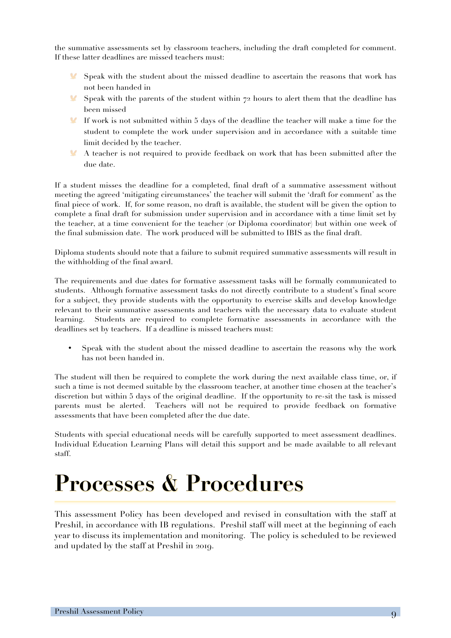the summative assessments set by classroom teachers, including the draft completed for comment. If these latter deadlines are missed teachers must:

- Speak with the student about the missed deadline to ascertain the reasons that work has not been handed in
- Speak with the parents of the student within  $72$  hours to alert them that the deadline has been missed
- If work is not submitted within 5 days of the deadline the teacher will make a time for the  $\mathbf{V}$ student to complete the work under supervision and in accordance with a suitable time limit decided by the teacher.
- $\mathbf{M}$ A teacher is not required to provide feedback on work that has been submitted after the due date.

If a student misses the deadline for a completed, final draft of a summative assessment without meeting the agreed 'mitigating circumstances' the teacher will submit the 'draft for comment' as the final piece of work. If, for some reason, no draft is available, the student will be given the option to complete a final draft for submission under supervision and in accordance with a time limit set by the teacher, at a time convenient for the teacher (or Diploma coordinator) but within one week of the final submission date. The work produced will be submitted to IBIS as the final draft.

Diploma students should note that a failure to submit required summative assessments will result in the withholding of the final award.

The requirements and due dates for formative assessment tasks will be formally communicated to students. Although formative assessment tasks do not directly contribute to a student's final score for a subject, they provide students with the opportunity to exercise skills and develop knowledge relevant to their summative assessments and teachers with the necessary data to evaluate student learning. Students are required to complete formative assessments in accordance with the deadlines set by teachers. If a deadline is missed teachers must:

• Speak with the student about the missed deadline to ascertain the reasons why the work has not been handed in.

The student will then be required to complete the work during the next available class time, or, if such a time is not deemed suitable by the classroom teacher, at another time chosen at the teacher's discretion but within 5 days of the original deadline. If the opportunity to re-sit the task is missed parents must be alerted. Teachers will not be required to provide feedback on formative assessments that have been completed after the due date.

Students with special educational needs will be carefully supported to meet assessment deadlines. Individual Education Learning Plans will detail this support and be made available to all relevant staff.

# **Processes & Procedures**

This assessment Policy has been developed and revised in consultation with the staff at Preshil, in accordance with IB regulations. Preshil staff will meet at the beginning of each year to discuss its implementation and monitoring. The policy is scheduled to be reviewed and updated by the staff at Preshil in 2019.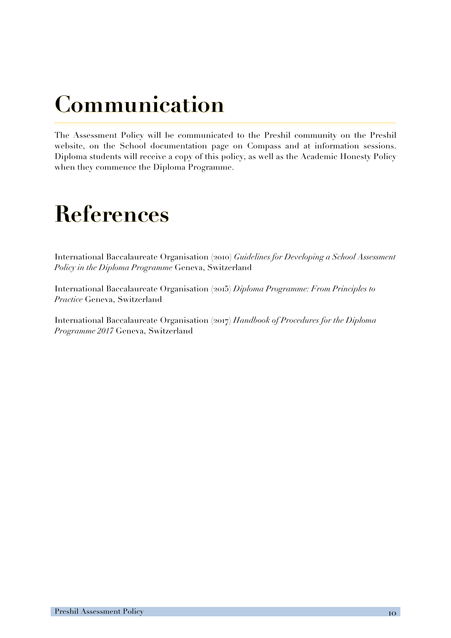# **Communication**

The Assessment Policy will be communicated to the Preshil community on the Preshil website, on the School documentation page on Compass and at information sessions. Diploma students will receive a copy of this policy, as well as the Academic Honesty Policy when they commence the Diploma Programme.

# **References**

International Baccalaureate Organisation (2010) *Guidelines for Developing a School Assessment Policy in the Diploma Programme* Geneva, Switzerland

International Baccalaureate Organisation (2015) *Diploma Programme: From Principles to Practice* Geneva, Switzerland

International Baccalaureate Organisation (2017) *Handbook of Procedures for the Diploma Programme 2017* Geneva, Switzerland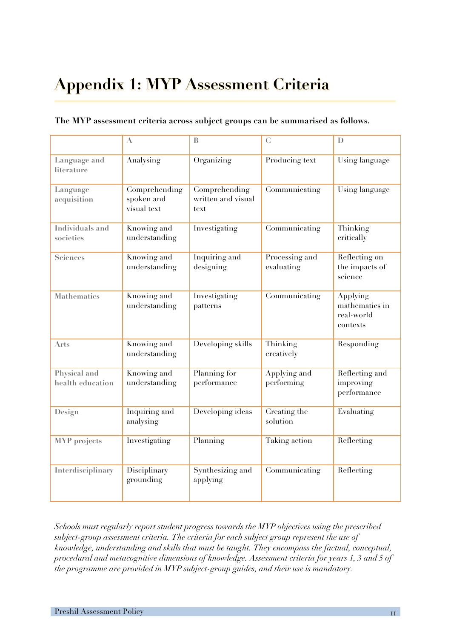# **Appendix 1: MYP Assessment Criteria**

|                                  | $\Lambda$                                  | $\mathbb B$                                 | $\mathcal{C}$                | $\mathbf{D}$                                         |
|----------------------------------|--------------------------------------------|---------------------------------------------|------------------------------|------------------------------------------------------|
| Language and<br>literature       | Analysing                                  | Organizing                                  | Producing text               | Using language                                       |
| Language<br>acquisition          | Comprehending<br>spoken and<br>visual text | Comprehending<br>written and visual<br>lext | Communicating                | Using language                                       |
| Individuals and<br>societies     | Knowing and<br>understanding               | Investigating                               | Communicating                | Thinking<br>critically                               |
| Sciences                         | Knowing and<br>understanding               | Inquiring and<br>designing                  | Processing and<br>evaluating | Reflecting on<br>the impacts of<br>science           |
| <b>Mathematics</b>               | Knowing and<br>understanding               | Investigating<br>patterns                   | Communicating                | Applying<br>mathematics in<br>real-world<br>contexts |
| Arts                             | Knowing and<br>understanding               | Developing skills                           | Thinking<br>creatively       | Responding                                           |
| Physical and<br>health education | Knowing and<br>understanding               | Planning for<br>performance                 | Applying and<br>performing   | Reflecting and<br>improving<br>performance           |
| Design                           | Inquiring and<br>analysing                 | Developing ideas                            | Creating the<br>solution     | Evaluating                                           |
| <b>MYP</b> projects              | Investigating                              | Planning                                    | Taking action                | Reflecting                                           |
| Interdisciplinary                | Disciplinary<br>grounding                  | Synthesizing and<br>applying                | Communicating                | Reflecting                                           |

#### **The MYP assessment criteria across subject groups can be summarised as follows.**

*Schools must regularly report student progress towards the MYP objectives using the prescribed subject-group assessment criteria. The criteria for each subject group represent the use of knowledge, understanding and skills that must be taught. They encompass the factual, conceptual, procedural and metacognitive dimensions of knowledge. Assessment criteria for years 1, 3 and 5 of the programme are provided in MYP subject-group guides, and their use is mandatory.*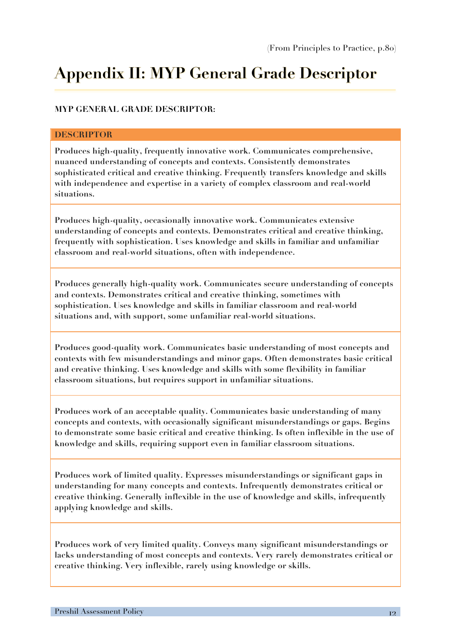### **Appendix II: MYP General Grade Descriptor**

#### **MYP GENERAL GRADE DESCRIPTOR:**

#### **DESCRIPTOR**

**Produces high-quality, frequently innovative work. Communicates comprehensive, nuanced understanding of concepts and contexts. Consistently demonstrates sophisticated critical and creative thinking. Frequently transfers knowledge and skills with independence and expertise in a variety of complex classroom and real-world situations.** 

**Produces high-quality, occasionally innovative work. Communicates extensive understanding of concepts and contexts. Demonstrates critical and creative thinking, frequently with sophistication. Uses knowledge and skills in familiar and unfamiliar classroom and real-world situations, often with independence.** 

**Produces generally high-quality work. Communicates secure understanding of concepts and contexts. Demonstrates critical and creative thinking, sometimes with sophistication. Uses knowledge and skills in familiar classroom and real-world situations and, with support, some unfamiliar real-world situations.** 

**Produces good-quality work. Communicates basic understanding of most concepts and contexts with few misunderstandings and minor gaps. Often demonstrates basic critical and creative thinking. Uses knowledge and skills with some flexibility in familiar classroom situations, but requires support in unfamiliar situations.** 

**Produces work of an acceptable quality. Communicates basic understanding of many concepts and contexts, with occasionally significant misunderstandings or gaps. Begins to demonstrate some basic critical and creative thinking. Is often inflexible in the use of knowledge and skills, requiring support even in familiar classroom situations.** 

**Produces work of limited quality. Expresses misunderstandings or significant gaps in understanding for many concepts and contexts. Infrequently demonstrates critical or creative thinking. Generally inflexible in the use of knowledge and skills, infrequently applying knowledge and skills.** 

**Produces work of very limited quality. Conveys many significant misunderstandings or lacks understanding of most concepts and contexts. Very rarely demonstrates critical or creative thinking. Very inflexible, rarely using knowledge or skills.**